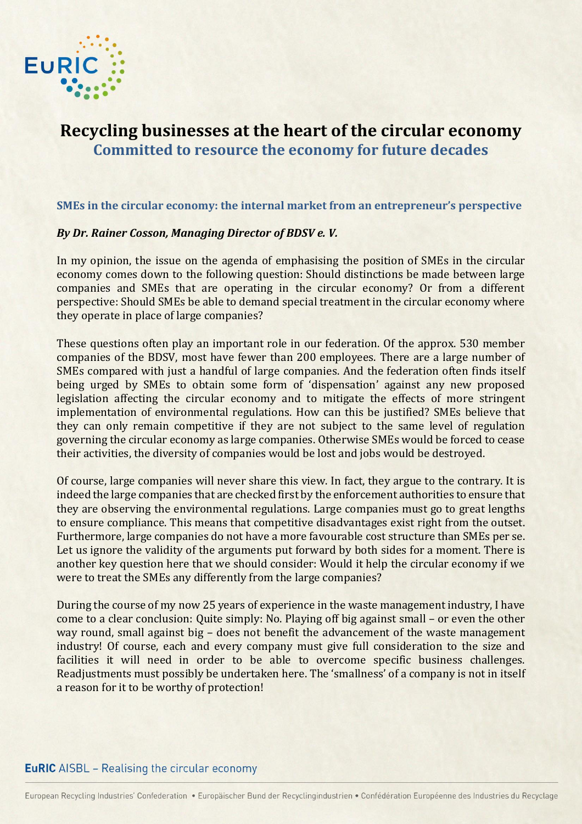

# **Recycling businesses at the heart of the circular economy Committed to resource the economy for future decades**

#### **SMEs in the circular economy: the internal market from an entrepreneur's perspective**

#### *By Dr. Rainer Cosson, Managing Director of BDSV e. V.*

In my opinion, the issue on the agenda of emphasising the position of SMEs in the circular economy comes down to the following question: Should distinctions be made between large companies and SMEs that are operating in the circular economy? Or from a different perspective: Should SMEs be able to demand special treatment in the circular economy where they operate in place of large companies?

These questions often play an important role in our federation. Of the approx. 530 member companies of the BDSV, most have fewer than 200 employees. There are a large number of SMEs compared with just a handful of large companies. And the federation often finds itself being urged by SMEs to obtain some form of 'dispensation' against any new proposed legislation affecting the circular economy and to mitigate the effects of more stringent implementation of environmental regulations. How can this be justified? SMEs believe that they can only remain competitive if they are not subject to the same level of regulation governing the circular economy as large companies. Otherwise SMEs would be forced to cease their activities, the diversity of companies would be lost and jobs would be destroyed.

Of course, large companies will never share this view. In fact, they argue to the contrary. It is indeed the large companies that are checked first by the enforcement authorities to ensure that they are observing the environmental regulations. Large companies must go to great lengths to ensure compliance. This means that competitive disadvantages exist right from the outset. Furthermore, large companies do not have a more favourable cost structure than SMEs per se. Let us ignore the validity of the arguments put forward by both sides for a moment. There is another key question here that we should consider: Would it help the circular economy if we were to treat the SMEs any differently from the large companies?

During the course of my now 25 years of experience in the waste management industry, I have come to a clear conclusion: Quite simply: No. Playing off big against small – or even the other way round, small against big – does not benefit the advancement of the waste management industry! Of course, each and every company must give full consideration to the size and facilities it will need in order to be able to overcome specific business challenges. Readjustments must possibly be undertaken here. The 'smallness' of a company is not in itself a reason for it to be worthy of protection!

### **EuRIC** AISBL - Realising the circular economy